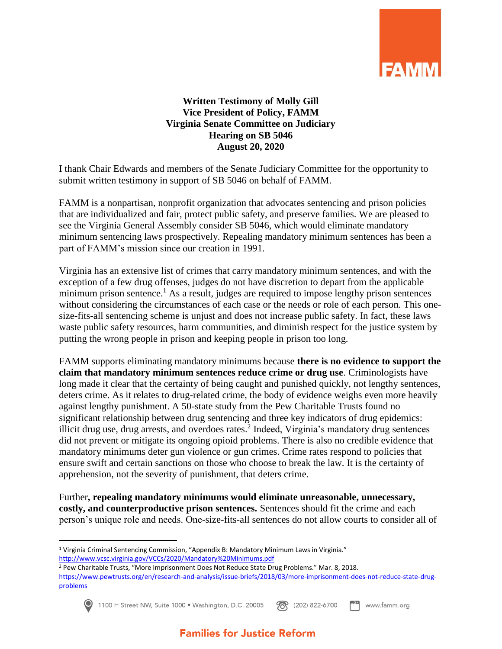

## **Written Testimony of Molly Gill Vice President of Policy, FAMM Virginia Senate Committee on Judiciary Hearing on SB 5046 August 20, 2020**

I thank Chair Edwards and members of the Senate Judiciary Committee for the opportunity to submit written testimony in support of SB 5046 on behalf of FAMM.

FAMM is a nonpartisan, nonprofit organization that advocates sentencing and prison policies that are individualized and fair, protect public safety, and preserve families. We are pleased to see the Virginia General Assembly consider SB 5046, which would eliminate mandatory minimum sentencing laws prospectively. Repealing mandatory minimum sentences has been a part of FAMM's mission since our creation in 1991.

Virginia has an extensive list of crimes that carry mandatory minimum sentences, and with the exception of a few drug offenses, judges do not have discretion to depart from the applicable minimum prison sentence.<sup>1</sup> As a result, judges are required to impose lengthy prison sentences without considering the circumstances of each case or the needs or role of each person. This onesize-fits-all sentencing scheme is unjust and does not increase public safety. In fact, these laws waste public safety resources, harm communities, and diminish respect for the justice system by putting the wrong people in prison and keeping people in prison too long.

FAMM supports eliminating mandatory minimums because **there is no evidence to support the claim that mandatory minimum sentences reduce crime or drug use**. Criminologists have long made it clear that the certainty of being caught and punished quickly, not lengthy sentences, deters crime. As it relates to drug-related crime, the body of evidence weighs even more heavily against lengthy punishment. A 50-state study from the Pew Charitable Trusts found no significant relationship between drug sentencing and three key indicators of drug epidemics: illicit drug use, drug arrests, and overdoes rates. $2$  Indeed, Virginia's mandatory drug sentences did not prevent or mitigate its ongoing opioid problems. There is also no credible evidence that mandatory minimums deter gun violence or gun crimes. Crime rates respond to policies that ensure swift and certain sanctions on those who choose to break the law. It is the certainty of apprehension, not the severity of punishment, that deters crime.

Further**, repealing mandatory minimums would eliminate unreasonable, unnecessary, costly, and counterproductive prison sentences.** Sentences should fit the crime and each person's unique role and needs. One-size-fits-all sentences do not allow courts to consider all of

 $\overline{a}$ 

1100 H Street NW, Suite 1000 · Washington, D.C. 20005 (202) 822-6700 www.famm.org

<sup>1</sup> Virginia Criminal Sentencing Commission, "Appendix B: Mandatory Minimum Laws in Virginia." <http://www.vcsc.virginia.gov/VCCs/2020/Mandatory%20Minimums.pdf>

<sup>2</sup> Pew Charitable Trusts, "More Imprisonment Does Not Reduce State Drug Problems." Mar. 8, 2018. [https://www.pewtrusts.org/en/research-and-analysis/issue-briefs/2018/03/more-imprisonment-does-not-reduce-state-drug](https://www.pewtrusts.org/en/research-and-analysis/issue-briefs/2018/03/more-imprisonment-does-not-reduce-state-drug-problems)[problems](https://www.pewtrusts.org/en/research-and-analysis/issue-briefs/2018/03/more-imprisonment-does-not-reduce-state-drug-problems)